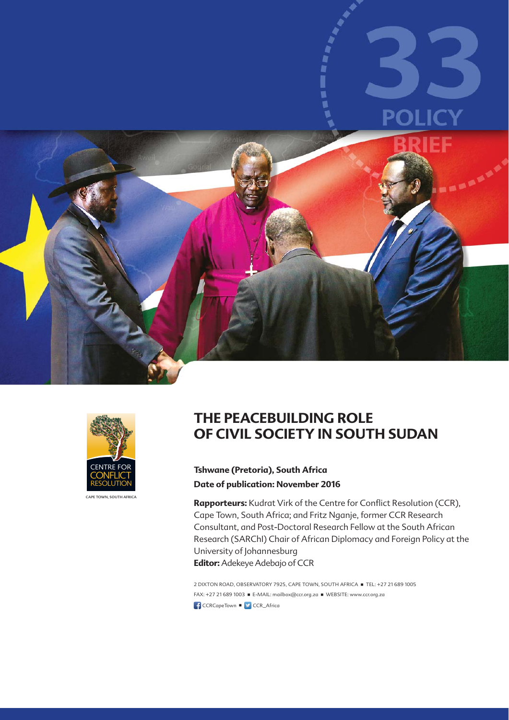



CAPE TOWN, SOUTH AFRICA

## **THE PEACEBUILDING ROLE OF CIVIL SOCIETY IN SOUTH SUDAN**

#### **Tshwane (Pretoria), South Africa Date of publication: November 2016**

Rapporteurs: Kudrat Virk of the Centre for Conflict Resolution (CCR), Cape Town, South Africa; and Fritz Nganje, former CCR Research Consultant, and Post-Doctoral Research Fellow at the South African Research (SARChI) Chair of African Diplomacy and Foreign Policy at the University of Johannesburg

**Editor:** Adekeye Adebajo of CCR

2 DIXTON ROAD, OBSERVATORY 7925, CAPE TOWN, SOUTH AFRICA ■ TEL: +27 21 689 1005 FAX: +27 21 689 1003 ■ E-MAIL: mailbox@ccr.org.za ■ WEBSITE: www.ccr.org.za  $\textsf{CCRCapeDown} \rightarrow \textsf{CCR}\textsf{Africa}$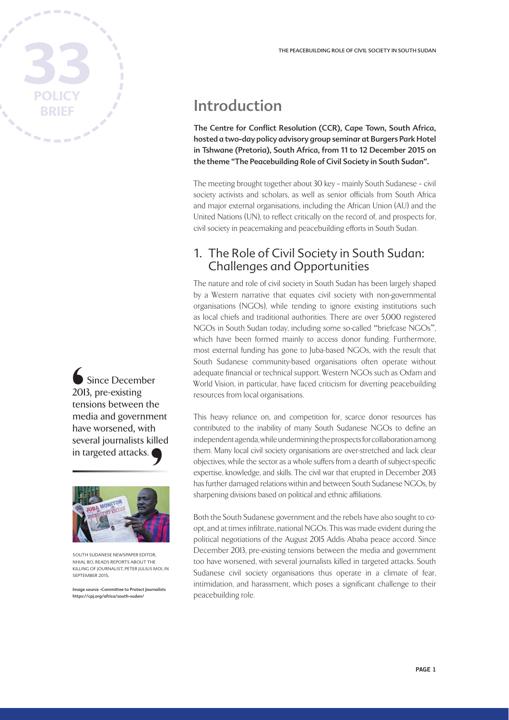

◯<br>201 ten<br>me hav<br>seven in t Since December 2013, pre-existing tensions between the media and government have worsened, with several journalists killed



SOUTH SUDANESE NEWSPAPER EDITOR NHIAL BO, READS REPORTS ABOUT THE KILLING OF JOURNALIST, PETER JULIUS MOI, IN SEPTEMBER 2015.

Image source -Committee to Protect Journalists https://cpj.org/africa/south-sudan/

# Introduction

The Centre for Conflict Resolution (CCR), Cape Town, South Africa, hosted a two-day policy advisory group seminar at Burgers Park Hotel in Tshwane (Pretoria), South Africa, from 11 to 12 December 2015 on the theme "The Peacebuilding Role of Civil Society in South Sudan".

The meeting brought together about 30 key – mainly South Sudanese – civil society activists and scholars, as well as senior officials from South Africa and major external organisations, including the African Union (AU) and the United Nations (UN), to reflect critically on the record of, and prospects for, civil society in peacemaking and peacebuilding efforts in South Sudan.

#### 1. The Role of Civil Society in South Sudan: Challenges and Opportunities

The nature and role of civil society in South Sudan has been largely shaped by a Western narrative that equates civil society with non-governmental organisations (NGOs), while tending to ignore existing institutions such as local chiefs and traditional authorities. There are over 5,000 registered NGOs in South Sudan today, including some so-called "briefcase NGOs", which have been formed mainly to access donor funding. Furthermore, most external funding has gone to Juba-based NGOs, with the result that South Sudanese community-based organisations often operate without adequate financial or technical support. Western NGOs such as Oxfam and World Vision, in particular, have faced criticism for diverting peacebuilding resources from local organisations.

This heavy reliance on, and competition for, scarce donor resources has contributed to the inability of many South Sudanese NGOs to define an independent agenda, while undermining the prospects for collaboration among them. Many local civil society organisations are over-stretched and lack clear objectives, while the sector as a whole suffers from a dearth of subject-specific expertise, knowledge, and skills. The civil war that erupted in December 2013 has further damaged relations within and between South Sudanese NGOs, by sharpening divisions based on political and ethnic affiliations.

Both the South Sudanese government and the rebels have also sought to coopt, and at times infiltrate, national NGOs. This was made evident during the political negotiations of the August 2015 Addis Ababa peace accord. Since December 2013, pre-existing tensions between the media and government too have worsened, with several journalists killed in targeted attacks. South Sudanese civil society organisations thus operate in a climate of fear, intimidation, and harassment, which poses a significant challenge to their peacebuilding role.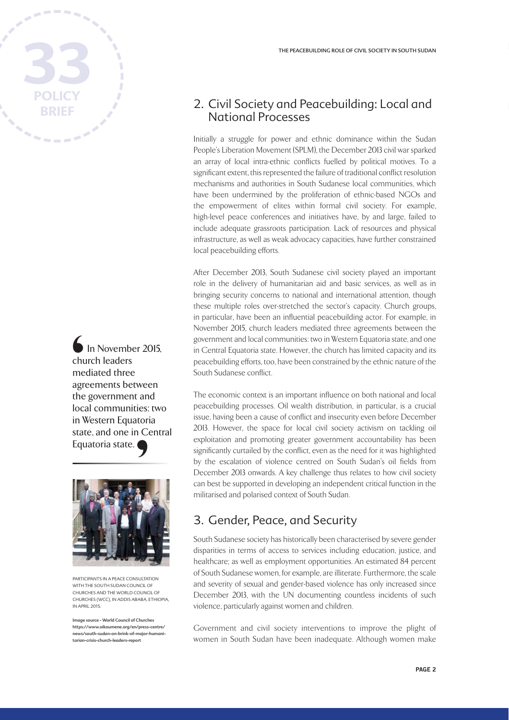

In November 2015, church leaders mediated three agreements between the government and local communities: two in Western Equatoria state, and one in Central Equatoria state. └──<br>
chu me<br>
agre<br>
the loca<br>
in \



PARTICIPANTS IN A PEACE CONSULTATION WITH THE SOUTH SUDAN COUNCIL OF CHURCHES AND THE WORLD COUNCIL OF CHURCHES (WCC), IN ADDIS ABABA, ETHIOPIA, IN APRIL 2015.

Image source - World Council of Churches https://www.oikoumene.org/en/press-centre/ news/south-sudan-on-brink-of-major-humanitarian-crisis-church-leaders-report

#### 2. Civil Society and Peacebuilding: Local and National Processes

Initially a struggle for power and ethnic dominance within the Sudan People's Liberation Movement (SPLM), the December 2013 civil war sparked an array of local intra-ethnic conflicts fuelled by political motives. To a significant extent, this represented the failure of traditional conflict resolution mechanisms and authorities in South Sudanese local communities, which have been undermined by the proliferation of ethnic-based NGOs and the empowerment of elites within formal civil society. For example, high-level peace conferences and initiatives have, by and large, failed to include adequate grassroots participation. Lack of resources and physical infrastructure, as well as weak advocacy capacities, have further constrained local peacebuilding efforts.

After December 2013, South Sudanese civil society played an important role in the delivery of humanitarian aid and basic services, as well as in bringing security concerns to national and international attention, though these multiple roles over-stretched the sector's capacity. Church groups, in particular, have been an influential peacebuilding actor. For example, in November 2015, church leaders mediated three agreements between the government and local communities: two in Western Equatoria state, and one in Central Equatoria state. However, the church has limited capacity and its peacebuilding efforts, too, have been constrained by the ethnic nature of the South Sudanese conflict.

The economic context is an important influence on both national and local peacebuilding processes. Oil wealth distribution, in particular, is a crucial issue, having been a cause of conflict and insecurity even before December 2013. However, the space for local civil society activism on tackling oil exploitation and promoting greater government accountability has been significantly curtailed by the conflict, even as the need for it was highlighted by the escalation of violence centred on South Sudan's oil fields from December 2013 onwards. A key challenge thus relates to how civil society can best be supported in developing an independent critical function in the militarised and polarised context of South Sudan.

#### 3. Gender, Peace, and Security

South Sudanese society has historically been characterised by severe gender disparities in terms of access to services including education, justice, and healthcare; as well as employment opportunities. An estimated 84 percent of South Sudanese women, for example, are illiterate. Furthermore, the scale and severity of sexual and gender-based violence has only increased since December 2013, with the UN documenting countless incidents of such violence, particularly against women and children.

Government and civil society interventions to improve the plight of women in South Sudan have been inadequate. Although women make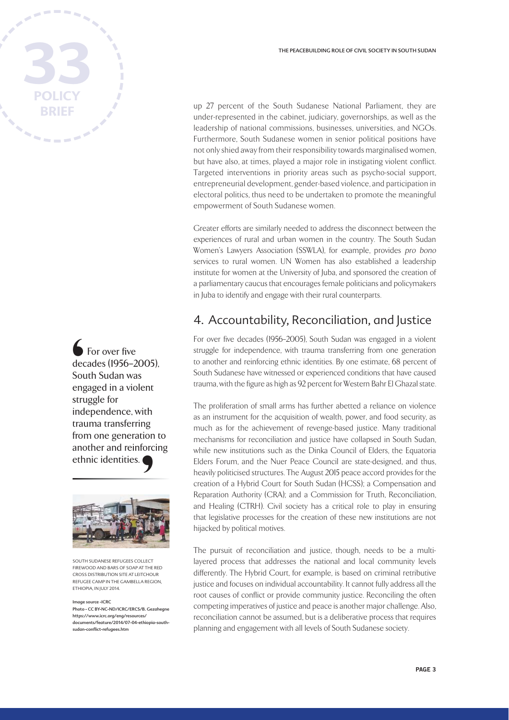For over five decades (1956–2005), South Sudan was engaged in a violent struggle for independence, with trauma transferring from one generation to another and reinforcing ethnic identities. ∫<br>dec<br>Sou<br>eng<br>stru<br>ind∙



SOUTH SUDANESE REFUGEES COLLECT FIREWOOD AND BARS OF SOAP AT THE RED CROSS DISTRIBUTION SITE AT LEITCHOUR REFUGEE CAMP IN THE GAMBELLA REGION, ETHIOPIA, IN ILIIY 2014

mage source -ICRC Photo - CC BY-NC-ND/ICRC/ERCS/B. Gezahegne https://www.icrc.org/eng/resources/ documents/feature/2014/07-04-ethiopia-southsudan-conflict-refugees.htm

up 27 percent of the South Sudanese National Parliament, they are under-represented in the cabinet, judiciary, governorships, as well as the leadership of national commissions, businesses, universities, and NGOs. Furthermore, South Sudanese women in senior political positions have not only shied away from their responsibility towards marginalised women, but have also, at times, played a major role in instigating violent conflict. Targeted interventions in priority areas such as psycho-social support, entrepreneurial development, gender-based violence, and participation in electoral politics, thus need to be undertaken to promote the meaningful empowerment of South Sudanese women.

Greater efforts are similarly needed to address the disconnect between the experiences of rural and urban women in the country. The South Sudan Women's Lawyers Association (SSWLA), for example, provides pro bono services to rural women. UN Women has also established a leadership institute for women at the University of Juba, and sponsored the creation of a parliamentary caucus that encourages female politicians and policymakers in Juba to identify and engage with their rural counterparts.

### 4. Accountability, Reconciliation, and Justice

For over five decades (1956–2005), South Sudan was engaged in a violent struggle for independence, with trauma transferring from one generation to another and reinforcing ethnic identities. By one estimate, 68 percent of South Sudanese have witnessed or experienced conditions that have caused trauma, with the figure as high as 92 percent for Western Bahr El Ghazal state.

The proliferation of small arms has further abetted a reliance on violence as an instrument for the acquisition of wealth, power, and food security, as much as for the achievement of revenge-based justice. Many traditional mechanisms for reconciliation and justice have collapsed in South Sudan, while new institutions such as the Dinka Council of Elders, the Equatoria Elders Forum, and the Nuer Peace Council are state-designed, and thus, heavily politicised structures. The August 2015 peace accord provides for the creation of a Hybrid Court for South Sudan (HCSS); a Compensation and Reparation Authority (CRA); and a Commission for Truth, Reconciliation, and Healing (CTRH). Civil society has a critical role to play in ensuring that legislative processes for the creation of these new institutions are not hijacked by political motives.

The pursuit of reconciliation and justice, though, needs to be a multilayered process that addresses the national and local community levels differently. The Hybrid Court, for example, is based on criminal retributive justice and focuses on individual accountability. It cannot fully address all the root causes of conflict or provide community justice. Reconciling the often competing imperatives of justice and peace is another major challenge. Also, reconciliation cannot be assumed, but is a deliberative process that requires planning and engagement with all levels of South Sudanese society.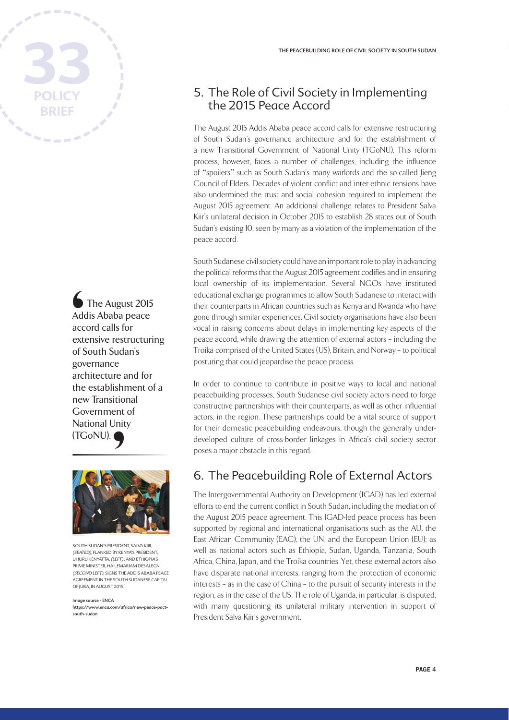

The August 2015 Addis Ababa peace accord calls for extensive restructuring of South Sudan's governance architecture and for the establishment of a new Transitional Government of National Unity (TGoNU). ●<br>Addrace<br>extrof S<br>gov<br>arcl



SOUTH SUDAN'S PRESIDENT, SALVA KIIR, (SEATED), FLANKED BY KENYA'S PRESIDENT, .<br>UHURU KENYATTA, (LEFT), AND ETHIOPIA'S PRIME MINISTER, HAILEMARIAM DESALEGN, (SECOND LEFT), SIGNS THE ADDIS ABABA PEACE AGREEMENT IN THE SOUTH SUDANESE CAPITAL OF JUBA, IN AUGUST 2015.

Image source - ENCA https://www.enca.com/africa/new-peace-pactsouth-sudan

#### 5. The Role of Civil Society in Implementing the 2015 Peace Accord

The August 2015 Addis Ababa peace accord calls for extensive restructuring of South Sudan's governance architecture and for the establishment of a new Transitional Government of National Unity (TGoNU). This reform process, however, faces a number of challenges, including the influence of "spoilers" such as South Sudan's many warlords and the so-called Jieng Council of Elders. Decades of violent conflict and inter-ethnic tensions have also undermined the trust and social cohesion required to implement the August 2015 agreement. An additional challenge relates to President Salva Kiir's unilateral decision in October 2015 to establish 28 states out of South Sudan's existing 10, seen by many as a violation of the implementation of the peace accord.

South Sudanese civil society could have an important role to play in advancing the political reforms that the August 2015 agreement codifies and in ensuring local ownership of its implementation. Several NGOs have instituted educational exchange programmes to allow South Sudanese to interact with their counterparts in African countries such as Kenya and Rwanda who have gone through similar experiences. Civil society organisations have also been vocal in raising concerns about delays in implementing key aspects of the peace accord, while drawing the attention of external actors – including the Troika comprised of the United States (US), Britain, and Norway – to political posturing that could jeopardise the peace process.

In order to continue to contribute in positive ways to local and national peacebuilding processes, South Sudanese civil society actors need to forge constructive partnerships with their counterparts, as well as other influential actors, in the region. These partnerships could be a vital source of support for their domestic peacebuilding endeavours, though the generally underdeveloped culture of cross-border linkages in Africa's civil society sector poses a major obstacle in this regard.

### 6. The Peacebuilding Role of External Actors

The Intergovernmental Authority on Development (IGAD) has led external efforts to end the current conflict in South Sudan, including the mediation of the August 2015 peace agreement. This IGAD-led peace process has been supported by regional and international organisations such as the AU, the East African Community (EAC), the UN, and the European Union (EU); as well as national actors such as Ethiopia, Sudan, Uganda, Tanzania, South Africa, China, Japan, and the Troika countries. Yet, these external actors also have disparate national interests, ranging from the protection of economic interests – as in the case of China – to the pursuit of security interests in the region, as in the case of the US. The role of Uganda, in particular, is disputed, with many questioning its unilateral military intervention in support of President Salva Kiir's government.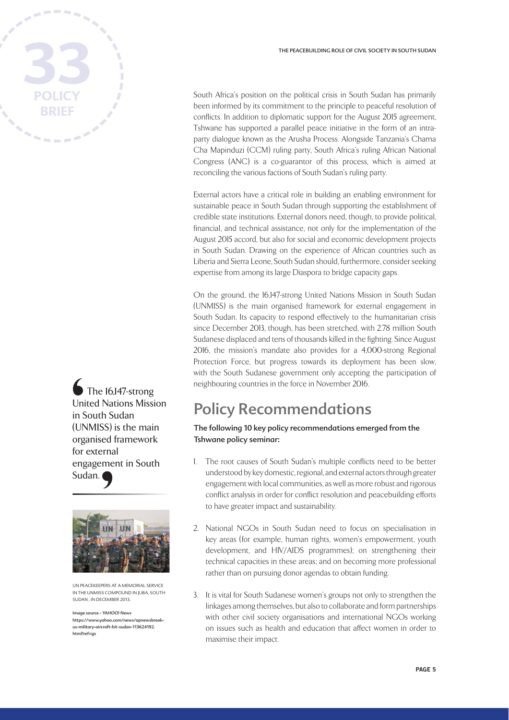

The 16,147-strong United Nations Mission in South Sudan (UNMISS) is the main organised framework for external engagement in South Sudan. └──<br>Uni<br>in S<br>(UN<br>org<br>for<br>eng



UN PEACEKEEPERS AT A MEMORIAL SERVICE IN THE UNMISS COMPOUND IN JUBA, SOUTH SUDAN , IN DECEMBER 2013.

Image source - YAHOO! News https://www.yahoo.com/news/apnewsbreakus-military-aircraft-hit-sudan-113624192. html?ref=gs

South Africa's position on the political crisis in South Sudan has primarily been informed by its commitment to the principle to peaceful resolution of conflicts. In addition to diplomatic support for the August 2015 agreement, Tshwane has supported a parallel peace initiative in the form of an intraparty dialogue known as the Arusha Process. Alongside Tanzania's Chama Cha Mapinduzi (CCM) ruling party, South Africa's ruling African National Congress (ANC) is a co-guarantor of this process, which is aimed at reconciling the various factions of South Sudan's ruling party.

External actors have a critical role in building an enabling environment for sustainable peace in South Sudan through supporting the establishment of credible state institutions. External donors need, though, to provide political, financial, and technical assistance, not only for the implementation of the August 2015 accord, but also for social and economic development projects in South Sudan. Drawing on the experience of African countries such as Liberia and Sierra Leone, South Sudan should, furthermore, consider seeking expertise from among its large Diaspora to bridge capacity gaps.

On the ground, the 16,147-strong United Nations Mission in South Sudan (UNMISS) is the main organised framework for external engagement in South Sudan. Its capacity to respond effectively to the humanitarian crisis since December 2013, though, has been stretched, with 2.78 million South Sudanese displaced and tens of thousands killed in the fighting. Since August 2016, the mission's mandate also provides for a 4,000-strong Regional Protection Force, but progress towards its deployment has been slow, with the South Sudanese government only accepting the participation of neighbouring countries in the force in November 2016.

# Policy Recommendations

#### The following 10 key policy recommendations emerged from the Tshwane policy seminar:

- 1. The root causes of South Sudan's multiple conflicts need to be better understood by key domestic, regional, and external actors through greater engagement with local communities, as well as more robust and rigorous conflict analysis in order for conflict resolution and peacebuilding efforts to have greater impact and sustainability.
- 2. National NGOs in South Sudan need to focus on specialisation in key areas (for example, human rights, women's empowerment, youth development, and HIV/AIDS programmes); on strengthening their technical capacities in these areas; and on becoming more professional rather than on pursuing donor agendas to obtain funding.
- 3. It is vital for South Sudanese women's groups not only to strengthen the linkages among themselves, but also to collaborate and form partnerships with other civil society organisations and international NGOs working on issues such as health and education that affect women in order to maximise their impact.